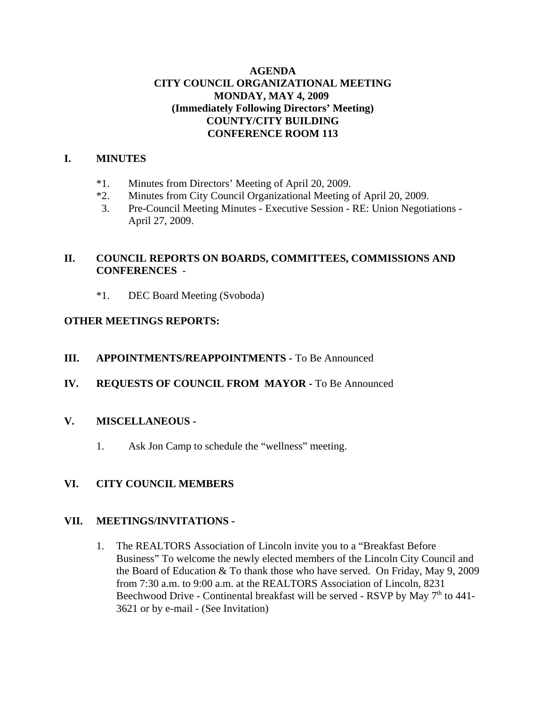### **AGENDA CITY COUNCIL ORGANIZATIONAL MEETING MONDAY, MAY 4, 2009 (Immediately Following Directors' Meeting) COUNTY/CITY BUILDING CONFERENCE ROOM 113**

### **I. MINUTES**

- \*1. Minutes from Directors' Meeting of April 20, 2009.
- \*2. Minutes from City Council Organizational Meeting of April 20, 2009.
- 3. Pre-Council Meeting Minutes Executive Session RE: Union Negotiations April 27, 2009.

### **II. COUNCIL REPORTS ON BOARDS, COMMITTEES, COMMISSIONS AND CONFERENCES** -

\*1. DEC Board Meeting (Svoboda)

### **OTHER MEETINGS REPORTS:**

### **III. APPOINTMENTS/REAPPOINTMENTS -** To Be Announced

# **IV. REQUESTS OF COUNCIL FROM MAYOR -** To Be Announced

### **V. MISCELLANEOUS -**

1. Ask Jon Camp to schedule the "wellness" meeting.

# **VI. CITY COUNCIL MEMBERS**

### **VII. MEETINGS/INVITATIONS -**

1. The REALTORS Association of Lincoln invite you to a "Breakfast Before Business" To welcome the newly elected members of the Lincoln City Council and the Board of Education & To thank those who have served. On Friday, May 9, 2009 from 7:30 a.m. to 9:00 a.m. at the REALTORS Association of Lincoln, 8231 Beechwood Drive - Continental breakfast will be served - RSVP by May  $7<sup>th</sup>$  to 441-3621 or by e-mail - (See Invitation)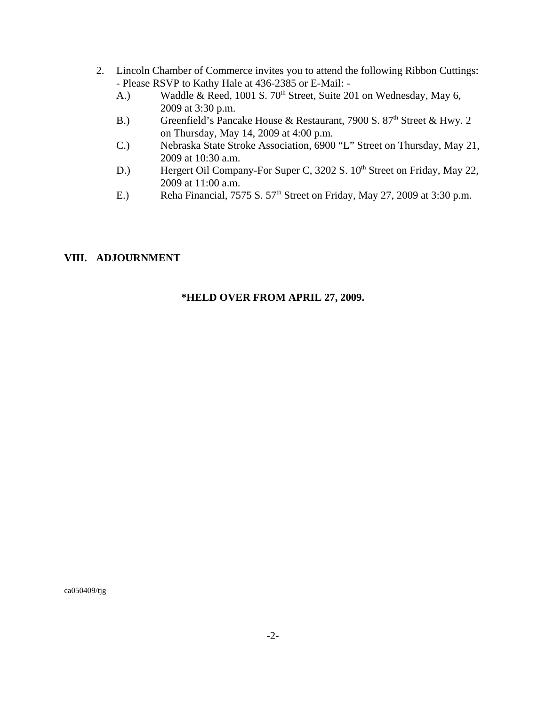- 2. Lincoln Chamber of Commerce invites you to attend the following Ribbon Cuttings: - Please RSVP to Kathy Hale at 436-2385 or E-Mail: -
	- A.) Waddle & Reed, 1001 S.  $70<sup>th</sup>$  Street, Suite 201 on Wednesday, May 6, 2009 at 3:30 p.m.
	- B.) Greenfield's Pancake House & Restaurant, 7900 S.  $87<sup>th</sup>$  Street & Hwy. 2 on Thursday, May 14, 2009 at 4:00 p.m.
	- C.) Nebraska State Stroke Association, 6900 "L" Street on Thursday, May 21, 2009 at 10:30 a.m.
	- D.) Hergert Oil Company-For Super C, 3202 S. 10<sup>th</sup> Street on Friday, May 22, 2009 at 11:00 a.m.
	- E.) Reha Financial, 7575 S.  $57<sup>th</sup>$  Street on Friday, May 27, 2009 at 3:30 p.m.

### **VIII. ADJOURNMENT**

#### **\*HELD OVER FROM APRIL 27, 2009.**

ca050409/tjg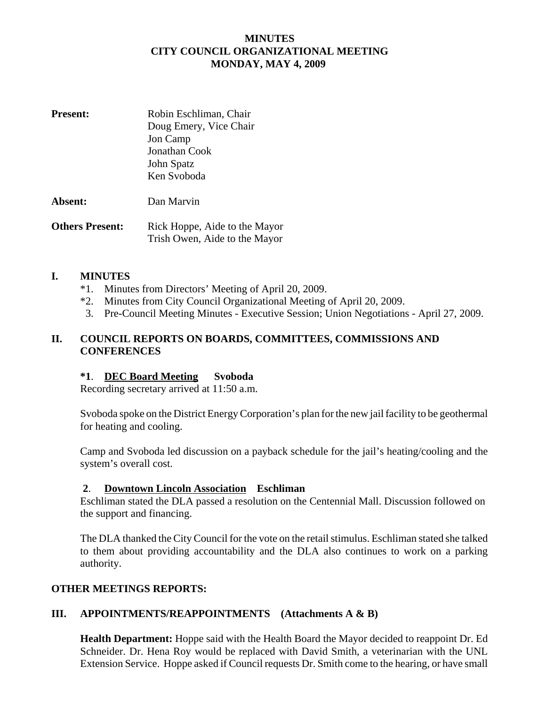### **MINUTES CITY COUNCIL ORGANIZATIONAL MEETING MONDAY, MAY 4, 2009**

| <b>Present:</b> | Robin Eschliman, Chair<br>Doug Emery, Vice Chair<br>Jon Camp<br>Jonathan Cook<br>John Spatz<br>Ken Svoboda |
|-----------------|------------------------------------------------------------------------------------------------------------|
| Absent:         | Dan Marvin                                                                                                 |

**Others Present:** Rick Hoppe, Aide to the Mayor Trish Owen, Aide to the Mayor

#### **I. MINUTES**

- \*1. Minutes from Directors' Meeting of April 20, 2009.
- \*2. Minutes from City Council Organizational Meeting of April 20, 2009.
- 3. Pre-Council Meeting Minutes Executive Session; Union Negotiations April 27, 2009.

### **II. COUNCIL REPORTS ON BOARDS, COMMITTEES, COMMISSIONS AND CONFERENCES**

#### **\*1**. **DEC Board Meeting Svoboda**

Recording secretary arrived at 11:50 a.m.

Svoboda spoke on the District Energy Corporation's plan for the new jail facility to be geothermal for heating and cooling.

Camp and Svoboda led discussion on a payback schedule for the jail's heating/cooling and the system's overall cost.

#### **2**. **Downtown Lincoln Association Eschliman**

Eschliman stated the DLA passed a resolution on the Centennial Mall. Discussion followed on the support and financing.

The DLA thanked the City Council for the vote on the retail stimulus. Eschliman stated she talked to them about providing accountability and the DLA also continues to work on a parking authority.

#### **OTHER MEETINGS REPORTS:**

### **III. APPOINTMENTS/REAPPOINTMENTS (Attachments A & B)**

**Health Department:** Hoppe said with the Health Board the Mayor decided to reappoint Dr. Ed Schneider. Dr. Hena Roy would be replaced with David Smith, a veterinarian with the UNL Extension Service. Hoppe asked if Council requests Dr. Smith come to the hearing, or have small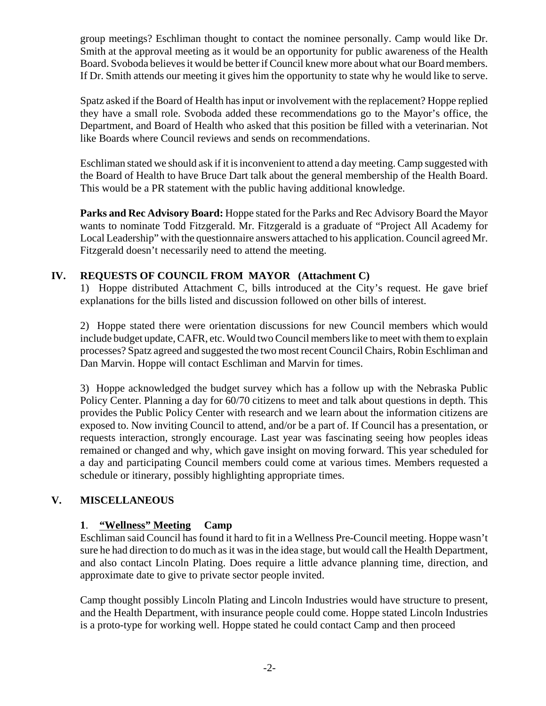group meetings? Eschliman thought to contact the nominee personally. Camp would like Dr. Smith at the approval meeting as it would be an opportunity for public awareness of the Health Board. Svoboda believes it would be better if Council knew more about what our Board members. If Dr. Smith attends our meeting it gives him the opportunity to state why he would like to serve.

Spatz asked if the Board of Health has input or involvement with the replacement? Hoppe replied they have a small role. Svoboda added these recommendations go to the Mayor's office, the Department, and Board of Health who asked that this position be filled with a veterinarian. Not like Boards where Council reviews and sends on recommendations.

Eschliman stated we should ask if it is inconvenient to attend a day meeting. Camp suggested with the Board of Health to have Bruce Dart talk about the general membership of the Health Board. This would be a PR statement with the public having additional knowledge.

**Parks and Rec Advisory Board:** Hoppe stated for the Parks and Rec Advisory Board the Mayor wants to nominate Todd Fitzgerald. Mr. Fitzgerald is a graduate of "Project All Academy for Local Leadership" with the questionnaire answers attached to his application. Council agreed Mr. Fitzgerald doesn't necessarily need to attend the meeting.

### **IV. REQUESTS OF COUNCIL FROM MAYOR (Attachment C)**

1) Hoppe distributed Attachment C, bills introduced at the City's request. He gave brief explanations for the bills listed and discussion followed on other bills of interest.

2) Hoppe stated there were orientation discussions for new Council members which would include budget update, CAFR, etc. Would two Council members like to meet with them to explain processes? Spatz agreed and suggested the two most recent Council Chairs, Robin Eschliman and Dan Marvin. Hoppe will contact Eschliman and Marvin for times.

3) Hoppe acknowledged the budget survey which has a follow up with the Nebraska Public Policy Center. Planning a day for 60/70 citizens to meet and talk about questions in depth. This provides the Public Policy Center with research and we learn about the information citizens are exposed to. Now inviting Council to attend, and/or be a part of. If Council has a presentation, or requests interaction, strongly encourage. Last year was fascinating seeing how peoples ideas remained or changed and why, which gave insight on moving forward. This year scheduled for a day and participating Council members could come at various times. Members requested a schedule or itinerary, possibly highlighting appropriate times.

# **V. MISCELLANEOUS**

### **1**. **"Wellness" Meeting Camp**

Eschliman said Council has found it hard to fit in a Wellness Pre-Council meeting. Hoppe wasn't sure he had direction to do much as it was in the idea stage, but would call the Health Department, and also contact Lincoln Plating. Does require a little advance planning time, direction, and approximate date to give to private sector people invited.

Camp thought possibly Lincoln Plating and Lincoln Industries would have structure to present, and the Health Department, with insurance people could come. Hoppe stated Lincoln Industries is a proto-type for working well. Hoppe stated he could contact Camp and then proceed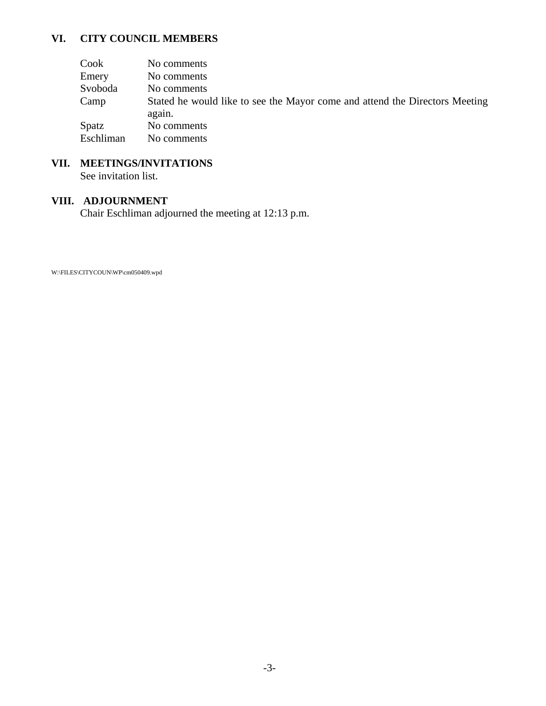# **VI. CITY COUNCIL MEMBERS**

| Cook      | No comments                                                                           |
|-----------|---------------------------------------------------------------------------------------|
| Emery     | No comments                                                                           |
| Svoboda   | No comments                                                                           |
| Camp      | Stated he would like to see the Mayor come and attend the Directors Meeting<br>again. |
| Spatz     | No comments                                                                           |
| Eschliman | No comments                                                                           |

# **VII. MEETINGS/INVITATIONS**

See invitation list.

## **VIII. ADJOURNMENT**

Chair Eschliman adjourned the meeting at 12:13 p.m.

W:\FILES\CITYCOUN\WP\cm050409.wpd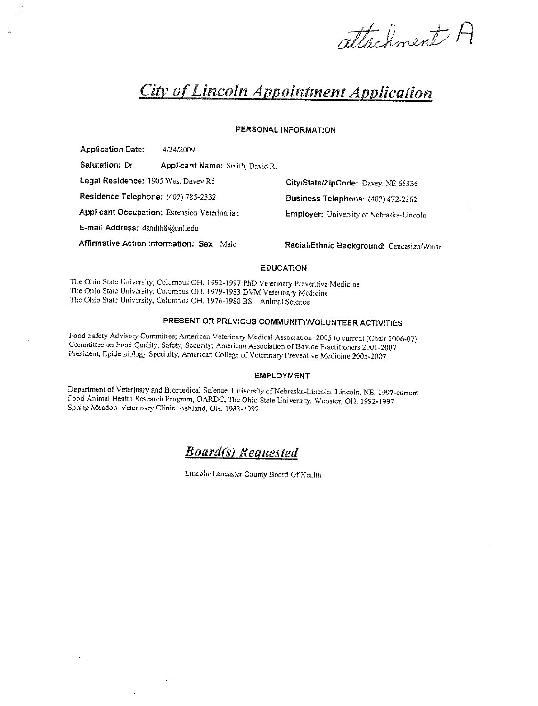attachment H

# **City of Lincoln Appointment Application**

#### PERSONAL INFORMATION

**Application Date:** 4/24/2009 Salutation: Dr. Applicant Name: Smith, David R. Legal Residence: 1905 West Davey Rd Residence Telephone: (402) 785-2332 Applicant Occupation: Extension Veterinarian E-mail Address: dsmith8@unl.edu Affirmative Action Information: Sex Male

 $\hat{\sigma}_{\rm{max}}$ 

City/State/ZipCode: Davey, NE 68336 Business Telephone: (402) 472-2362 Employer: University of Nebraska-Lincoln

Racial/Ethnic Background: Caucasian/White

#### **EDUCATION**

The Ohio State University, Columbus OH. 1992-1997 PhD Veterinary Preventive Medicine The Ohio State University, Columbus OH. 1979-1983 DVM Veterinary Medicine The Ohio State University, Columbus OH. 1976-1980 BS Animal Science

#### PRESENT OR PREVIOUS COMMUNITY/VOLUNTEER ACTIVITIES

Food Safety Advisory Committee; American Veterinary Medical Association 2005 to current (Chair 2006-07) Committee on Food Quality, Safety, Security; American Association of Bovine Practitioners 2001-2007 President, Epidemiology Specialty, American College of Veterinary Preventive Medicine 2005-2007

#### **EMPLOYMENT**

Department of Veterinary and Biomedical Science. University of Nebraska-Lincoln. Lincoln, NE. 1997-current Food Animal Health Research Program, OARDC, The Ohio State University, Wooster, OH. 1992-1997 Spring Meadow Veterinary Clinic. Ashland, OH. 1983-1992

# **Board(s)** Requested

Lincoln-Lancaster County Board Of Health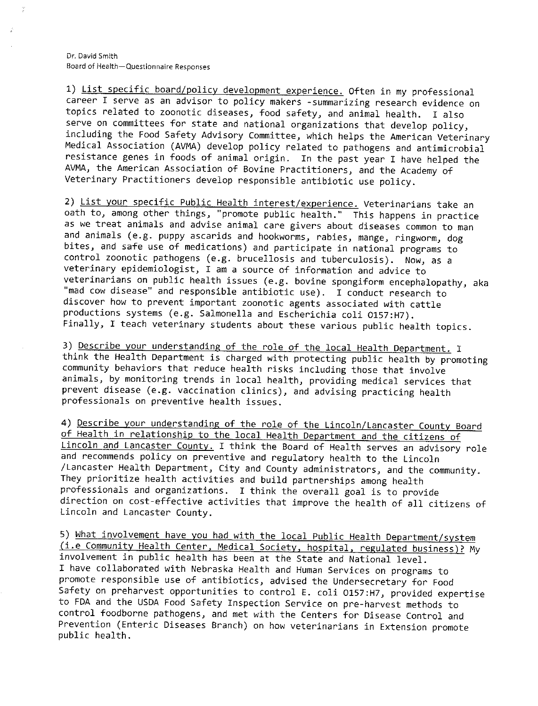Dr. David Smith Board of Health-Questionnaire Responses

1) List specific board/policy development experience. Often in my professional career I serve as an advisor to policy makers -summarizing research evidence on topics related to zoonotic diseases, food safety, and animal health. I also serve on committees for state and national organizations that develop policy, including the Food Safety Advisory Committee, which helps the American Veterinary Medical Association (AVMA) develop policy related to pathogens and antimicrobial resistance genes in foods of animal origin. In the past year I have helped the AVMA, the American Association of Bovine Practitioners, and the Academy of Veterinary Practitioners develop responsible antibiotic use policy.

2) List your specific Public Health interest/experience. Veterinarians take an oath to, among other things, "promote public health." This happens in practice as we treat animals and advise animal care givers about diseases common to man and animals (e.g. puppy ascarids and hookworms, rabies, mange, ringworm, dog bites, and safe use of medications) and participate in national programs to control zoonotic pathogens (e.g. brucellosis and tuberculosis). Now, as a veterinary epidemiologist, I am a source of information and advice to veterinarians on public health issues (e.g. bovine spongiform encephalopathy, aka "mad cow disease" and responsible antibiotic use). I conduct research to discover how to prevent important zoonotic agents associated with cattle productions systems (e.g. Salmonella and Escherichia coli 0157:H7). Finally, I teach veterinary students about these various public health topics.

3) Describe your understanding of the role of the local Health Department. I think the Health Department is charged with protecting public health by promoting community behaviors that reduce health risks including those that involve animals, by monitoring trends in local health, providing medical services that prevent disease (e.g. vaccination clinics), and advising practicing health professionals on preventive health issues.

4) Describe your understanding of the role of the Lincoln/Lancaster County Board of Health in relationship to the local Health Department and the citizens of Lincoln and Lancaster County. I think the Board of Health serves an advisory role and recommends policy on preventive and regulatory health to the Lincoln /Lancaster Health Department, City and County administrators, and the community. They prioritize health activities and build partnerships among health professionals and organizations. I think the overall goal is to provide direction on cost-effective activities that improve the health of all citizens of Lincoln and Lancaster County.

5) What involvement have you had with the local Public Health Department/system (i.e Community Health Center, Medical Society, hospital, regulated business)? My involvement in public health has been at the State and National level. I have collaborated with Nebraska Health and Human Services on programs to promote responsible use of antibiotics, advised the Undersecretary for Food Safety on preharvest opportunities to control E. coli 0157:H7, provided expertise to FDA and the USDA Food Safety Inspection Service on pre-harvest methods to control foodborne pathogens, and met with the Centers for Disease Control and Prevention (Enteric Diseases Branch) on how veterinarians in Extension promote public health.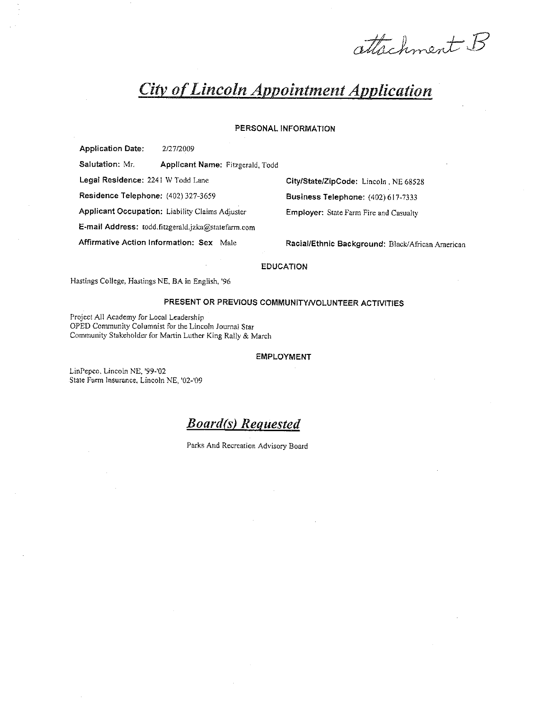attachment B

# **City of Lincoln Appointment Application**

#### PERSONAL INFORMATION

**Application Date:** 2/27/2009

Salutation: Mr. Applicant Name: Fitzgerald, Todd

Legal Residence: 2241 W Todd Lane

Residence Telephone: (402) 327-3659

Applicant Occupation: Liability Claims Adjuster

E-mail Address: todd.fitzgerald.jzka@statefarm.com

Affirmative Action Information: Sex Male

City/State/ZipCode: Lincoln, NE 68528 Business Telephone: (402) 617-7333 Employer: State Farm Fire and Casualty

Racial/Ethnic Background: Black/African American

#### **EDUCATION**

Hastings College, Hastings NE, BA in English, '96

#### PRESENT OR PREVIOUS COMMUNITY/VOLUNTEER ACTIVITIES

Project All Academy for Local Leadership OPED Community Columnist for the Lincoln Journal Star Community Stakeholder for Martin Luther King Rally & March

#### **EMPLOYMENT**

LinPepco, Lincoln NE, '99-'02 State Farm Insurance, Lincoln NE, '02-'09

**Board(s)** Requested

Parks And Recreation Advisory Board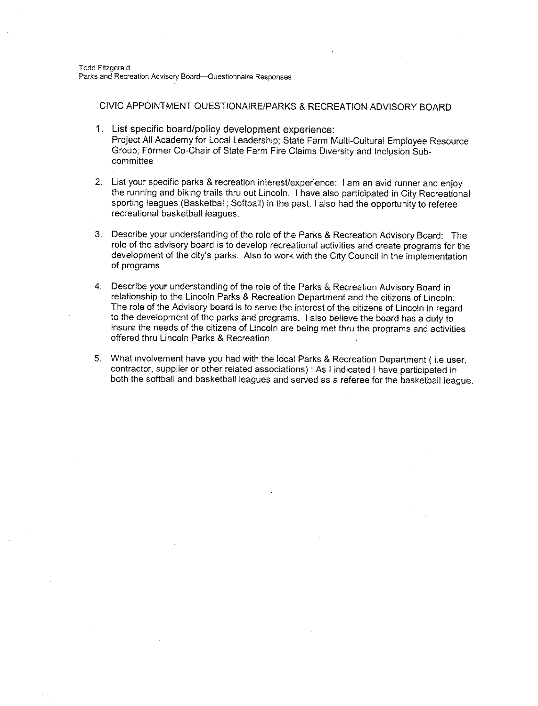CIVIC APPOINTMENT QUESTIONAIRE/PARKS & RECREATION ADVISORY BOARD

- 1. List specific board/policy development experience: Proiect All Academy for Local Leadership; State Farm Multi-Cultural Employee Resource Group; Former Co-Chair of State Farm Fire Claims Diversity and Inclusion Subcommittee
- 2. List your specific parks & recreation interest/experience: I am an avid runner and enjoy the running and biking trails thru out Lincoln. I have also participated in City Recreational sporting leagues (Basketball; Softball) in the past, I also had the opportunity to referee recreational basketball leagues.
- 3. Describe your understanding of the role of the Parks & Recreation Advisory Board: The role of the advisory board is to develop recreational activities and create programs for the development of the city's parks. Also to work with the City Council in the implementation of programs.
- 4. Describe your understanding of the role of the Parks & Recreation Advisory Board in relationship to the Lincoln Parks & Recreation Department and the citizens of Lincoln: The role of the Advisory board is to serve the interest of the citizens of Lincoln in regard to the development of the parks and programs. I also believe the board has a duty to insure the needs of the citizens of Lincoln are being met thru the programs and activities offered thru Lincoln Parks & Recreation.
- 5. What involvement have you had with the local Parks & Recreation Department (i.e user, contractor, supplier or other related associations) : As I indicated I have participated in both the softball and basketball leagues and served as a referee for the basketball league.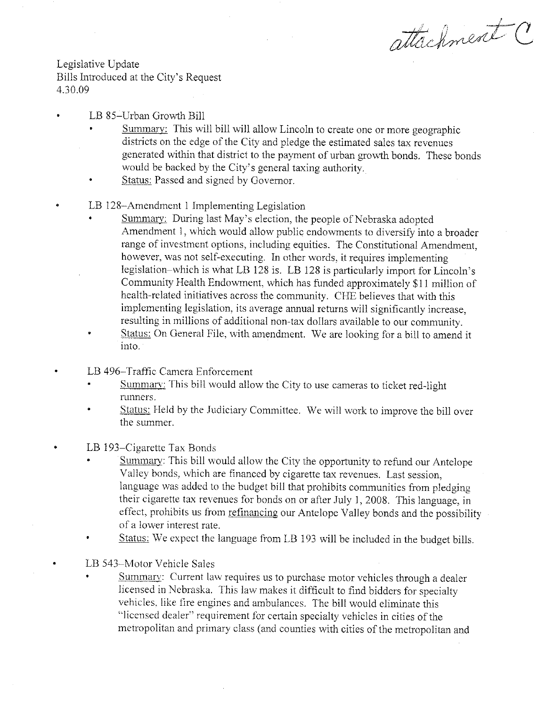attachment

Legislative Update Bills Introduced at the City's Request 4.30.09

- LB 85-Urban Growth Bill
	- Summary: This will bill will allow Lincoln to create one or more geographic districts on the edge of the City and pledge the estimated sales tax revenues generated within that district to the payment of urban growth bonds. These bonds would be backed by the City's general taxing authority.
	- Status: Passed and signed by Governor.  $\bullet$
- LB 128-Amendment 1 Implementing Legislation
	- Summary: During last May's election, the people of Nebraska adopted Amendment 1, which would allow public endowments to diversify into a broader range of investment options, including equities. The Constitutional Amendment, however, was not self-executing. In other words, it requires implementing legislation-which is what LB 128 is. LB 128 is particularly import for Lincoln's Community Health Endowment, which has funded approximately \$11 million of health-related initiatives across the community. CHE believes that with this implementing legislation, its average annual returns will significantly increase, resulting in millions of additional non-tax dollars available to our community.
	- Status: On General File, with amendment. We are looking for a bill to amend it into.
	- LB 496-Traffic Camera Enforcement
	- Summary: This bill would allow the City to use cameras to ticket red-light runners.
	- Status: Held by the Judiciary Committee. We will work to improve the bill over the summer.
	- LB 193–Cigarette Tax Bonds
		- Summary: This bill would allow the City the opportunity to refund our Antelope Valley bonds, which are financed by cigarette tax revenues. Last session. language was added to the budget bill that prohibits communities from pledging their cigarette tax revenues for bonds on or after July 1, 2008. This language, in effect, prohibits us from refinancing our Antelope Valley bonds and the possibility of a lower interest rate.
	- Status: We expect the language from LB 193 will be included in the budget bills.

LB 543-Motor Vehicle Sales

Summary: Current law requires us to purchase motor vehicles through a dealer licensed in Nebraska. This law makes it difficult to find bidders for specialty vehicles, like fire engines and ambulances. The bill would eliminate this "licensed dealer" requirement for certain specialty vehicles in cities of the metropolitan and primary class (and counties with cities of the metropolitan and